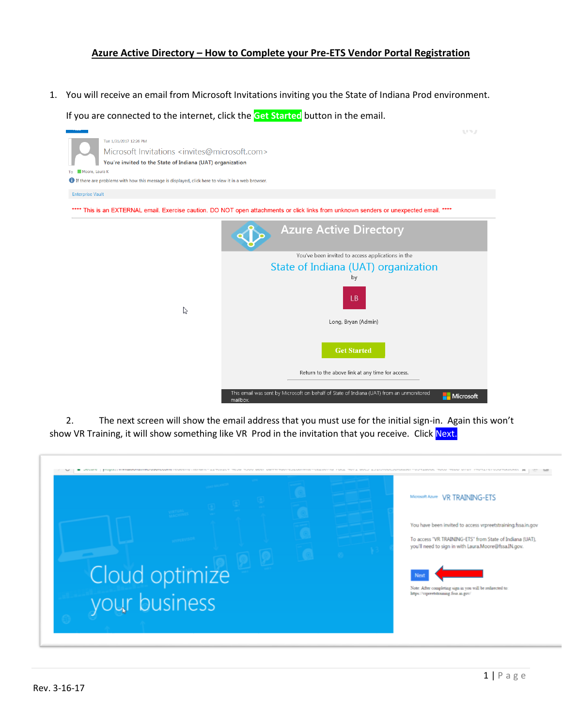## **Azure Active Directory – How to Complete your Pre-ETS Vendor Portal Registration**

1. You will receive an email from Microsoft Invitations inviting you the State of Indiana Prod environment.

If you are connected to the internet, click the **Get Started** button in the email.



2. The next screen will show the email address that you must use for the initial sign-in. Again this won't show VR Training, it will show something like VR Prod in the invitation that you receive. Click Next.

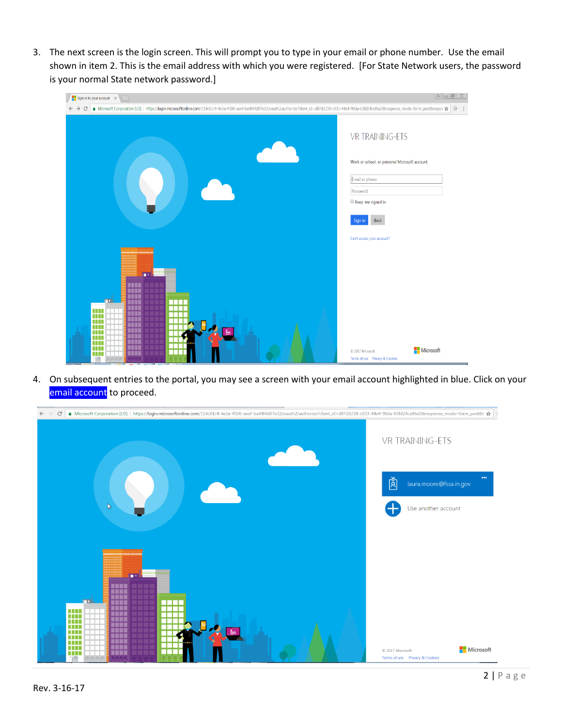3. The next screen is the login screen. This will prompt you to type in your email or phone number. Use the email shown in item 2. This is the email address with which you were registered. [For State Network users, the password is your normal State network password.]

| $\frac{1}{2}$ Sign in to your account $\times$                                                                                                                                                              | $\begin{array}{c c c c c c c} \hline \text{A} & \text{B} & \text{B} & \text{B} \end{array}$ |
|-------------------------------------------------------------------------------------------------------------------------------------------------------------------------------------------------------------|---------------------------------------------------------------------------------------------|
| ● Microsoft Corporation [US]   https://login.microsoftonline.com/114c61c4-4e3a-4506-aeef-ba44f4d07e32/oauth2/authorize?client_id=d87d3238-c033-44e4-90da-65fd24ce86a5&response_mode=form_post&respor ☆<br>C | $\circledcirc$<br>$\ddot{\cdot}$                                                            |
|                                                                                                                                                                                                             | <b>VR TRAINING-ETS</b>                                                                      |
|                                                                                                                                                                                                             | Work or school, or personal Microsoft account                                               |
|                                                                                                                                                                                                             | Email or phone                                                                              |
|                                                                                                                                                                                                             | Password                                                                                    |
|                                                                                                                                                                                                             | Keep me signed in                                                                           |
|                                                                                                                                                                                                             | Back<br>Sign in                                                                             |
|                                                                                                                                                                                                             | Can't access your account?                                                                  |
| ш<br>n n<br>.<br>m<br>TTT<br>Ш<br><b>TIL</b><br><b>TIL</b><br>.<br>ш                                                                                                                                        |                                                                                             |
| .<br>HH.<br>11 I<br><b>TIL</b><br>TTT<br>a di L<br>THE<br>a sa B<br>m<br>ШI                                                                                                                                 | Microsoft<br>C 2017 Microsoft<br>Terms of use Privacy & Cookies                             |

4. On subsequent entries to the portal, you may see a screen with your email account highlighted in blue. Click on your email account to proceed.